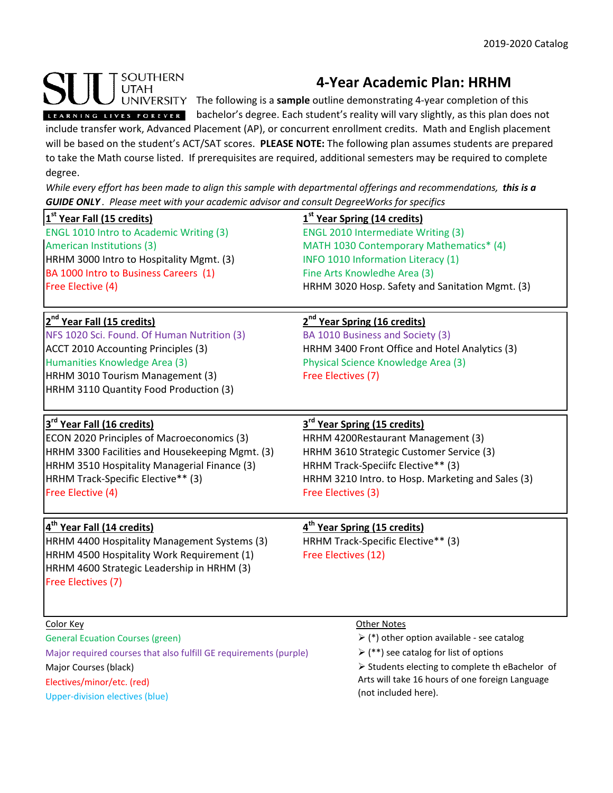## SOUTHERN **UTAH**

Electives/minor/etc. (red) Upper-division electives (blue)

## **4-Year Academic Plan: HRHM**

UNIVERSITY The following is a **sample** outline demonstrating 4-year completion of this

LEARNING LIVES FOREVER bachelor's degree. Each student's reality will vary slightly, as this plan does not

include transfer work, Advanced Placement (AP), or concurrent enrollment credits. Math and English placement will be based on the student's ACT/SAT scores. **PLEASE NOTE:** The following plan assumes students are prepared to take the Math course listed. If prerequisites are required, additional semesters may be required to complete degree.

*While every effort has been made to align this sample with departmental offerings and recommendations, this is a GUIDE ONLY . Please meet with your academic advisor and consult DegreeWorks for specifics*

| <b>GOIDE ONET</b> . PIEUSE MEEL WILH YOUI UCUUEHIIC UUVISOF UHU COHSUIL DEYFEE WOHNS JOF SPECIJICS |                                                           |
|----------------------------------------------------------------------------------------------------|-----------------------------------------------------------|
| 1 <sup>st</sup> Year Fall (15 credits)                                                             | 1 <sup>st</sup> Year Spring (14 credits)                  |
| <b>ENGL 1010 Intro to Academic Writing (3)</b>                                                     | <b>ENGL 2010 Intermediate Writing (3)</b>                 |
| American Institutions (3)                                                                          | MATH 1030 Contemporary Mathematics* (4)                   |
| HRHM 3000 Intro to Hospitality Mgmt. (3)                                                           | INFO 1010 Information Literacy (1)                        |
| BA 1000 Intro to Business Careers (1)                                                              | Fine Arts Knowledhe Area (3)                              |
| Free Elective (4)                                                                                  | HRHM 3020 Hosp. Safety and Sanitation Mgmt. (3)           |
| 2 <sup>nd</sup> Year Fall (15 credits)                                                             | 2 <sup>nd</sup> Year Spring (16 credits)                  |
| NFS 1020 Sci. Found. Of Human Nutrition (3)                                                        | BA 1010 Business and Society (3)                          |
| ACCT 2010 Accounting Principles (3)                                                                | HRHM 3400 Front Office and Hotel Analytics (3)            |
| Humanities Knowledge Area (3)                                                                      | Physical Science Knowledge Area (3)                       |
| HRHM 3010 Tourism Management (3)                                                                   | Free Electives (7)                                        |
| HRHM 3110 Quantity Food Production (3)                                                             |                                                           |
| 3 <sup>rd</sup> Year Fall (16 credits)                                                             | 3 <sup>rd</sup> Year Spring (15 credits)                  |
| ECON 2020 Principles of Macroeconomics (3)                                                         | HRHM 4200Restaurant Management (3)                        |
| HRHM 3300 Facilities and Housekeeping Mgmt. (3)                                                    | HRHM 3610 Strategic Customer Service (3)                  |
| HRHM 3510 Hospitality Managerial Finance (3)                                                       | HRHM Track-Speciifc Elective** (3)                        |
| HRHM Track-Specific Elective** (3)                                                                 | HRHM 3210 Intro. to Hosp. Marketing and Sales (3)         |
| Free Elective (4)                                                                                  | Free Electives (3)                                        |
| 4 <sup>th</sup> Year Fall (14 credits)                                                             | 4 <sup>th</sup> Year Spring (15 credits)                  |
| HRHM 4400 Hospitality Management Systems (3)                                                       | HRHM Track-Specific Elective** (3)                        |
| HRHM 4500 Hospitality Work Requirement (1)                                                         | Free Electives (12)                                       |
| HRHM 4600 Strategic Leadership in HRHM (3)                                                         |                                                           |
| Free Electives (7)                                                                                 |                                                           |
|                                                                                                    |                                                           |
| Color Key                                                                                          | Other Notes                                               |
| <b>General Ecuation Courses (green)</b>                                                            | $\triangleright$ (*) other option available - see catalog |
| Major required courses that also fulfill GE requirements (purple)                                  | $\triangleright$ (**) see catalog for list of options     |
| Major Courses (black)                                                                              | > Students electing to complete th eBachelor of           |

 $\triangleright$  Students electing to complete th eBachelor of Arts will take 16 hours of one foreign Language (not included here).